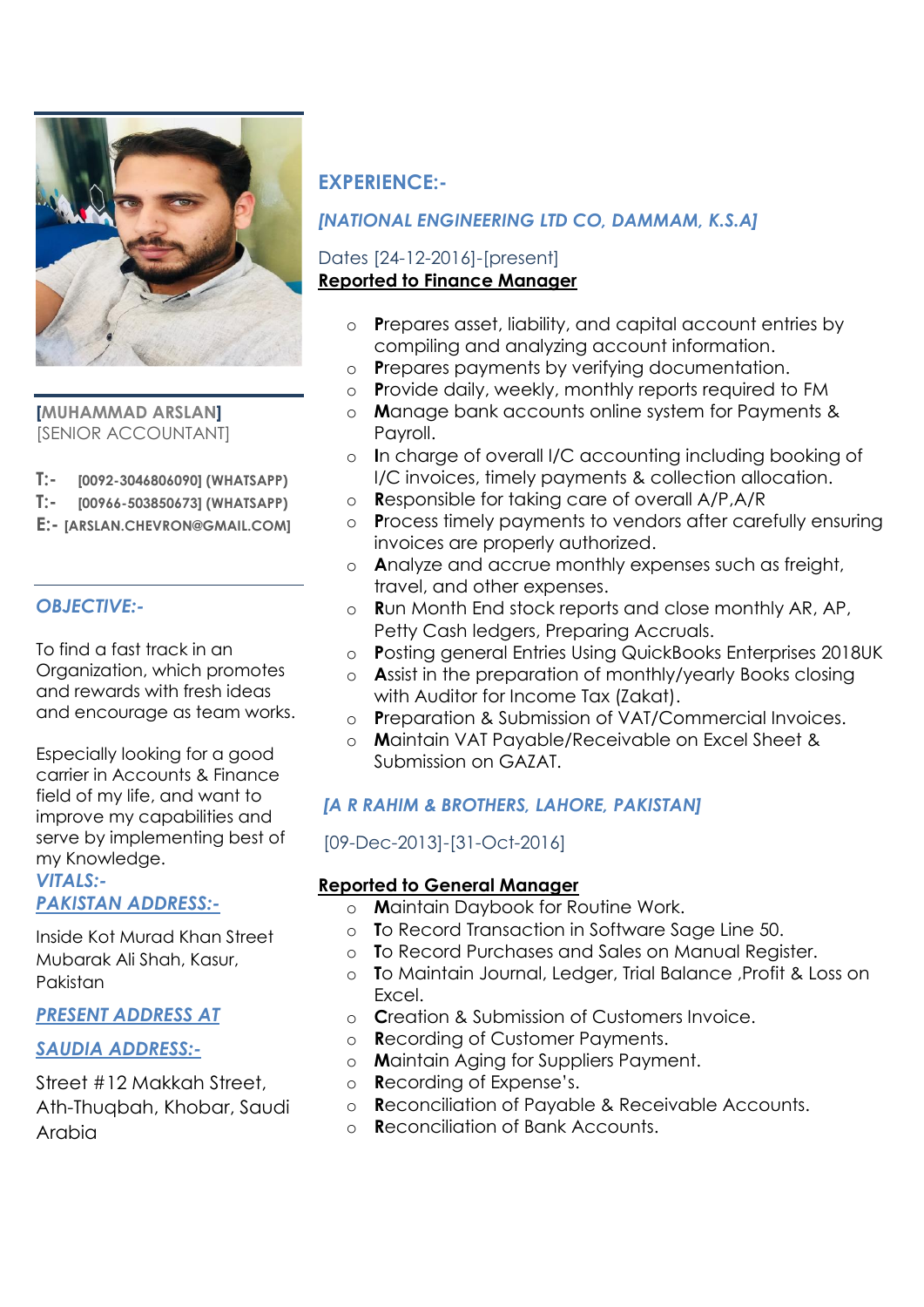

**[MUHAMMAD ARSLAN]** [SENIOR ACCOUNTANT]

- **T:- [0092-3046806090] (WHATSAPP)**
- **T:- [00966-503850673] (WHATSAPP)**
- **E:- [ARSLAN.CHEVRON@GMAIL.COM]**

### *OBJECTIVE:-*

To find a fast track in an Organization, which promotes and rewards with fresh ideas and encourage as team works.

Especially looking for a good carrier in Accounts & Finance field of my life, and want to improve my capabilities and serve by implementing best of my Knowledge.

#### *VITALS:- PAKISTAN ADDRESS:-*

Inside Kot Murad Khan Street Mubarak Ali Shah, Kasur, Pakistan

#### *PRESENT ADDRESS AT*

### *SAUDIA ADDRESS:-*

Street #12 Makkah Street, Ath-Thuqbah, Khobar, Saudi Arabia

## **EXPERIENCE:-**

### *[NATIONAL ENGINEERING LTD CO, DAMMAM, K.S.A]*

### Dates [24-12-2016]-[present] **Reported to Finance Manager**

- o **P**repares asset, liability, and capital account entries by compiling and analyzing account information.
- o **P**repares payments by verifying documentation.
- o **P**rovide daily, weekly, monthly reports required to FM
- o **M**anage bank accounts online system for Payments & Payroll.
- o **I**n charge of overall I/C accounting including booking of I/C invoices, timely payments & collection allocation.
- o **R**esponsible for taking care of overall A/P,A/R
- o **P**rocess timely payments to vendors after carefully ensuring invoices are properly authorized.
- o **A**nalyze and accrue monthly expenses such as freight, travel, and other expenses.
- o **R**un Month End stock reports and close monthly AR, AP, Petty Cash ledgers, Preparing Accruals.
- o **P**osting general Entries Using QuickBooks Enterprises 2018UK
- o **A**ssist in the preparation of monthly/yearly Books closing with Auditor for Income Tax (Zakat).
- o **P**reparation & Submission of VAT/Commercial Invoices.
- o **M**aintain VAT Payable/Receivable on Excel Sheet & Submission on GAZAT.

## *[A R RAHIM & BROTHERS, LAHORE, PAKISTAN]*

### [09-Dec-2013]-[31-Oct-2016]

#### **Reported to General Manager**

- o **M**aintain Daybook for Routine Work.
- o **T**o Record Transaction in Software Sage Line 50.
- o **T**o Record Purchases and Sales on Manual Register.
- o **T**o Maintain Journal, Ledger, Trial Balance ,Profit & Loss on Excel.
- o **C**reation & Submission of Customers Invoice.
- o **R**ecording of Customer Payments.
- o **M**aintain Aging for Suppliers Payment.
- o **R**ecording of Expense's.
- o **R**econciliation of Payable & Receivable Accounts.
- o **R**econciliation of Bank Accounts.